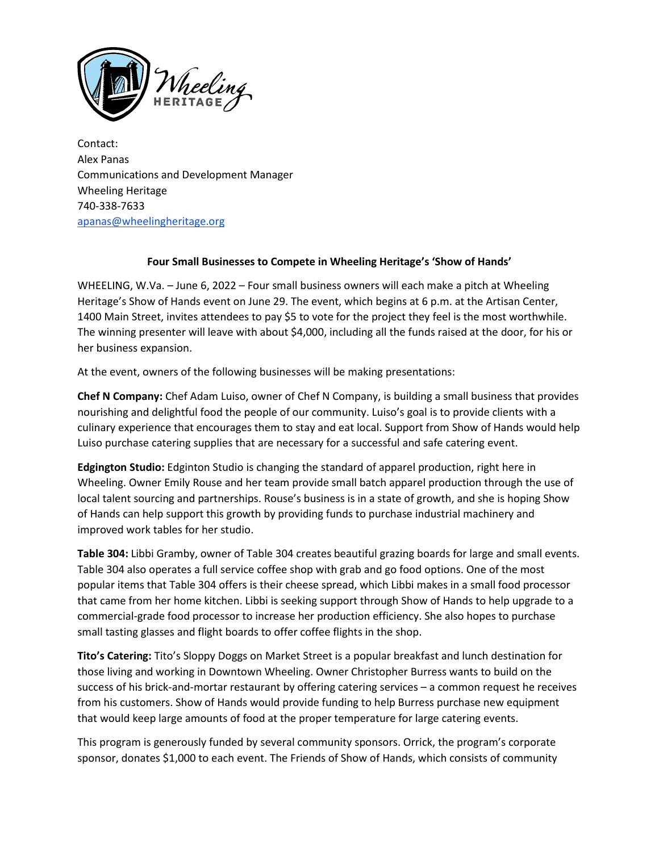

Contact: Alex Panas Communications and Development Manager Wheeling Heritage 740-338-7633 [apanas@wheelingheritage.org](mailto:apanas@wheelingheritage.org)

## **Four Small Businesses to Compete in Wheeling Heritage's 'Show of Hands'**

WHEELING, W.Va. – June 6, 2022 – Four small business owners will each make a pitch at Wheeling Heritage's Show of Hands event on June 29. The event, which begins at 6 p.m. at the Artisan Center, 1400 Main Street, invites attendees to pay \$5 to vote for the project they feel is the most worthwhile. The winning presenter will leave with about \$4,000, including all the funds raised at the door, for his or her business expansion.

At the event, owners of the following businesses will be making presentations:

**Chef N Company:** Chef Adam Luiso, owner of Chef N Company, is building a small business that provides nourishing and delightful food the people of our community. Luiso's goal is to provide clients with a culinary experience that encourages them to stay and eat local. Support from Show of Hands would help Luiso purchase catering supplies that are necessary for a successful and safe catering event.

**Edgington Studio:** Edginton Studio is changing the standard of apparel production, right here in Wheeling. Owner Emily Rouse and her team provide small batch apparel production through the use of local talent sourcing and partnerships. Rouse's business is in a state of growth, and she is hoping Show of Hands can help support this growth by providing funds to purchase industrial machinery and improved work tables for her studio.

**Table 304:** Libbi Gramby, owner of Table 304 creates beautiful grazing boards for large and small events. Table 304 also operates a full service coffee shop with grab and go food options. One of the most popular items that Table 304 offers is their cheese spread, which Libbi makes in a small food processor that came from her home kitchen. Libbi is seeking support through Show of Hands to help upgrade to a commercial-grade food processor to increase her production efficiency. She also hopes to purchase small tasting glasses and flight boards to offer coffee flights in the shop.

**Tito's Catering:** Tito's Sloppy Doggs on Market Street is a popular breakfast and lunch destination for those living and working in Downtown Wheeling. Owner Christopher Burress wants to build on the success of his brick-and-mortar restaurant by offering catering services – a common request he receives from his customers. Show of Hands would provide funding to help Burress purchase new equipment that would keep large amounts of food at the proper temperature for large catering events.

This program is generously funded by several community sponsors. Orrick, the program's corporate sponsor, donates \$1,000 to each event. The Friends of Show of Hands, which consists of community